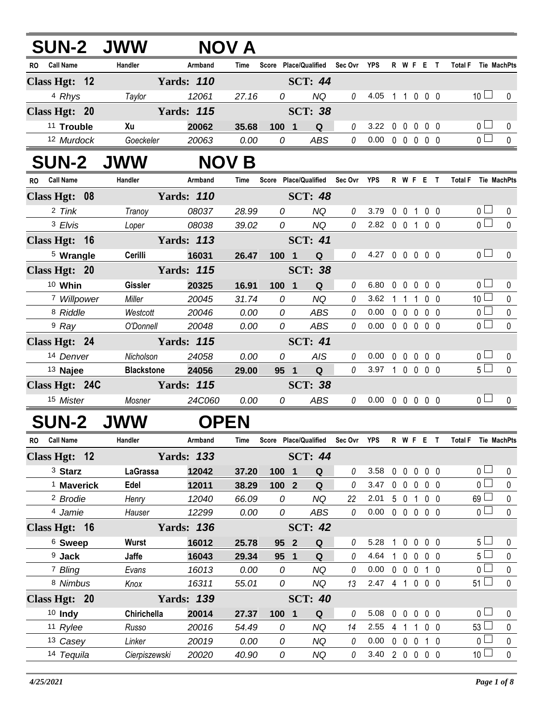| <b>SUN-2 JWW</b>              |                   |                   | <b>NOV A</b>  |                |                                   |                |                            |              |                   |                          |                |                     |                                   |                  |
|-------------------------------|-------------------|-------------------|---------------|----------------|-----------------------------------|----------------|----------------------------|--------------|-------------------|--------------------------|----------------|---------------------|-----------------------------------|------------------|
| RO Call Name                  | Handler           | Armband           | Time          |                | Score Place/Qualified Sec Ovr YPS |                |                            |              |                   | R W F E T                |                | Total F Tie MachPts |                                   |                  |
| Class Hgt: $12$               |                   | <b>Yards: 110</b> |               |                | <b>SCT: 44</b>                    |                |                            |              |                   |                          |                |                     |                                   |                  |
| 4 Rhys                        | Taylor            | 12061             | 27.16         | 0              | <b>NQ</b>                         | 0              | 4.05 1 1 0 0 0             |              |                   |                          |                |                     | 10 <sup>1</sup>                   | 0                |
| Class Hgt: 20                 |                   | <b>Yards: 115</b> |               |                | <b>SCT: 38</b>                    |                |                            |              |                   |                          |                |                     |                                   |                  |
| <sup>11</sup> Trouble         | Xu                | 20062             | 35.68         | 100 1          | Q                                 | 0              | 3.22                       |              |                   | 00000                    |                |                     | 0 <sub>0</sub>                    | 0                |
| 12 Murdock                    | Goeckeler         | 20063             | 0.00          | 0              | <b>ABS</b>                        | 0              | $0.00 \t0 \t0 \t0 \t0 \t0$ |              |                   |                          |                |                     | $\overline{0}$                    | $\mathbf 0$      |
| <b>SUN-2 JWW</b>              |                   |                   | <b>NOV B</b>  |                |                                   |                |                            |              |                   |                          |                |                     |                                   |                  |
| <b>Call Name</b><br><b>RO</b> | Handler           | Armband           | Time          |                | Score Place/Qualified Sec Ovr     |                | YPS                        |              |                   | R W F E T                |                | <b>Total F</b>      | Tie MachPts                       |                  |
| Class Hgt: 08                 |                   | <b>Yards: 110</b> |               |                | <b>SCT: 48</b>                    |                |                            |              |                   |                          |                |                     |                                   |                  |
| 2 Tink                        | Tranoy            | 08037             | 28.99         | 0              | <b>NQ</b>                         | 0              | 3.79                       |              |                   | 0 0 1 0 0                |                |                     | 0 <sub>l</sub>                    | 0                |
| 3 Elvis                       | Loper             | 08038             | 39.02         | $\overline{O}$ | <b>NQ</b>                         | $\overline{0}$ | 2.82 0 0 1 0 0             |              |                   |                          |                |                     | $\overline{0}$                    | $\mathbf{0}$     |
| Class Hgt: 16                 |                   | <b>Yards: 113</b> |               |                | <b>SCT: 41</b>                    |                |                            |              |                   |                          |                |                     |                                   |                  |
| <sup>5</sup> Wrangle          | Cerilli           | 16031             | 26.47         | 100 1          | Q                                 | $\theta$       | 4.27 0 0 0 0 0             |              |                   |                          |                |                     | 0 <sub>l</sub>                    | $\mathbf{0}$     |
| Class Hgt: 20                 |                   | <b>Yards: 115</b> |               |                | <b>SCT: 38</b>                    |                |                            |              |                   |                          |                |                     |                                   |                  |
| $10$ Whin                     | <b>Gissler</b>    | 20325             | 16.91         | 100 1          | Q                                 | 0              | 6.80                       |              |                   | 0 0 0 0 0                |                |                     | 0 <sup>1</sup>                    | 0                |
| 7 Willpower                   | Miller            | 20045             | 31.74         | 0              | <b>NQ</b>                         | 0              | 3.62                       |              | $1\quad1$         | $\overline{1}$           | 0 <sub>0</sub> |                     | 10 <sup>1</sup>                   | $\pmb{0}$        |
| 8 Riddle                      | Westcott          | 20046             | 0.00          | 0              | ABS                               | 0              | 0.00                       |              |                   | 00000                    |                |                     | $\overline{0}$                    | $\mathbf 0$      |
| <sup>9</sup> Ray              | O'Donnell         | 20048             | 0.00          | 0              | <b>ABS</b>                        | 0              | 0.00                       |              |                   | $00000$                  |                |                     | $\overline{0}$                    | $\mathbf 0$      |
| Class Hgt: 24                 |                   | <b>Yards: 115</b> |               |                | <b>SCT: 41</b>                    |                |                            |              |                   |                          |                |                     |                                   |                  |
| 14 Denver                     | Nicholson         | 24058             | 0.00          | 0              | <b>AIS</b>                        | 0              | 0.00                       |              |                   | 0 0 0 0 0                |                |                     | 0 <sub>l</sub>                    | 0                |
| <sup>13</sup> Najee           | <b>Blackstone</b> | 24056             | 29.00         | 95 1           | Q                                 | 0              | 3.97 1 0 0 0 0             |              |                   |                          |                |                     | $5 \Box$                          | $\mathbf 0$      |
| Class Hgt: 24C                |                   | <b>Yards: 115</b> |               |                | <b>SCT: 38</b>                    |                |                            |              |                   |                          |                |                     |                                   |                  |
| <sup>15</sup> Mister          | Mosner            | 24C060            | 0.00          | 0              | <b>ABS</b>                        | 0              | $0.00 \t0 \t0 \t0 \t0 \t0$ |              |                   |                          |                |                     | 0 <sub>l</sub>                    | $\mathbf{0}$     |
| <b>SUN-2</b>                  | <b>JWW</b>        | <b>OPEN</b>       |               |                |                                   |                |                            |              |                   |                          |                |                     |                                   |                  |
| RO Call Name                  | Handler           | Armband           | Time          |                | Score Place/Qualified             | Sec Ovr YPS    |                            |              |                   | R W F E T                |                | Total F Tie MachPts |                                   |                  |
| Class Hgt: 12                 |                   | <b>Yards: 133</b> |               |                | <b>SCT: 44</b>                    |                |                            |              |                   |                          |                |                     |                                   |                  |
| <sup>3</sup> Starz            | LaGrassa          | 12042             | 37.20         | 100 1          | Q                                 | 0              | 3.58                       | $0\quad 0$   |                   | $\mathbf 0$              | $0\quad 0$     | 0 l                 |                                   | 0                |
| <sup>1</sup> Maverick         | Edel              | 12011             | 38.29         | 100 2          | Q                                 | 0              | 3.47                       |              | 0 <sub>0</sub>    | $\mathbf 0$              | $0\quad 0$     | 0 l                 |                                   | 0                |
| <sup>2</sup> Brodie           | Henry             | 12040             | 66.09         | 0              | <b>NQ</b>                         | 22             | 2.01                       |              | 5 0 1             |                          | $0\quad 0$     | 69 <sup>1</sup>     |                                   | 0                |
| 4 Jamie                       | Hauser            | 12299             | 0.00          | 0              | ABS                               | 0              | 0.00                       |              |                   | 00000                    |                |                     | 0 <sub>1</sub>                    | $\pmb{0}$        |
| Class Hgt: 16                 |                   | <b>Yards: 136</b> |               |                | <b>SCT: 42</b>                    |                |                            |              |                   |                          |                |                     |                                   |                  |
| <sup>6</sup> Sweep            | Wurst             | 16012             | 25.78         | 95 2           | Q                                 | $\theta$       | 5.28                       | $\mathbf{1}$ |                   | $0\quad 0\quad 0\quad 0$ |                |                     | 5 <sub>1</sub>                    | 0                |
| $9$ Jack                      | Jaffe             | 16043             | 29.34         | 95             | $\mathbf{1}$<br>Q                 | 0              | 4.64                       | 1            | $\mathbf 0$       | $\mathbf 0$              | $0\quad 0$     | 5 <sup>1</sup>      |                                   | 0                |
| 7 Bling                       | Evans             | 16013             | 0.00          | 0              | <b>NQ</b>                         | 0              | 0.00                       |              | $0\quad 0\quad 0$ |                          | 1 0            | 0 l                 |                                   | 0                |
| 8 Nimbus                      | Knox              | 16311             | 55.01         | 0              | <b>NQ</b>                         | 13             | 2.47 4 1 0 0 0             |              |                   |                          |                |                     | $51 \Box$                         | $\pmb{0}$        |
| Class Hgt: 20                 |                   | <b>Yards: 139</b> |               |                | <b>SCT: 40</b>                    |                |                            |              |                   |                          |                |                     |                                   |                  |
| 10 Indy                       | Chirichella       | 20014             | 27.37         | 100 1          | Q                                 | 0              | 5.08                       |              | $0\quad 0$        | $\mathbf 0$              | 0 <sub>0</sub> | 0 l                 |                                   | 0                |
| 11 Rylee                      | Russo             | 20016             | 54.49         | 0              | NQ                                | 14             | 2.55                       | 41           |                   | $\mathbf{1}$             | $0\quad 0$     | 53 <sup>1</sup>     |                                   | 0                |
| 13 Casey<br>14 Tequila        | Linker            | 20019<br>20020    | 0.00<br>40.90 | 0<br>0         | <b>NQ</b><br>NQ                   | 0<br>0         | 0.00<br>3.40 2 0 0 0 0     |              | $0\quad 0\quad 0$ |                          | $1\quad0$      |                     | 0 <sup>1</sup><br>10 <sup>1</sup> | 0<br>$\mathbf 0$ |
|                               | Cierpiszewski     |                   |               |                |                                   |                |                            |              |                   |                          |                |                     |                                   |                  |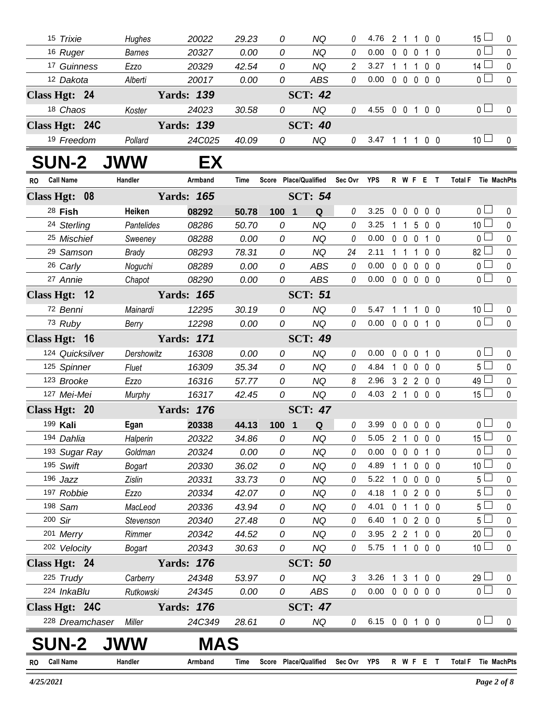| 15 Trixie                     | Hughes        | 20022             | 29.23 | 0                                 | NQ             | 0              | 4.76                       |              |                   |                | 2 1 1 0 0         | 15 <sup>1</sup>     | 0           |
|-------------------------------|---------------|-------------------|-------|-----------------------------------|----------------|----------------|----------------------------|--------------|-------------------|----------------|-------------------|---------------------|-------------|
| 16 Ruger                      | <b>Barnes</b> | 20327             | 0.00  | 0                                 | <b>NQ</b>      | 0              | $0.00 \t0 \t0 \t0 \t1 \t0$ |              |                   |                |                   | 0 <sup>1</sup>      | $\mathbf 0$ |
| 17 Guinness                   | Ezzo          | 20329             | 42.54 | 0                                 | <b>NQ</b>      | $\overline{2}$ | 3.27                       |              |                   |                | 1 1 1 0 0         | $14 \Box$           | $\pmb{0}$   |
| 12 Dakota                     | Alberti       | 20017             | 0.00  | 0                                 | <b>ABS</b>     | $\theta$       | $0.00 \t0 \t0 \t0 \t0 \t0$ |              |                   |                |                   | 0 <sub>1</sub>      | $\mathbf 0$ |
| Class Hgt: 24                 |               | <b>Yards: 139</b> |       |                                   | <b>SCT: 42</b> |                |                            |              |                   |                |                   |                     |             |
| 18 Chaos                      | Koster        | 24023             | 30.58 | 0                                 | <b>NQ</b>      | $\theta$       | 4.55 0 0 1 0 0             |              |                   |                |                   | 0 <sub>1</sub>      | 0           |
| Class Hgt: 24C                |               | <b>Yards: 139</b> |       |                                   | <b>SCT: 40</b> |                |                            |              |                   |                |                   |                     |             |
| 19 Freedom                    | Pollard       | 24C025            | 40.09 | 0                                 | <b>NQ</b>      | $\theta$       | 3.47 1 1 1 0 0             |              |                   |                |                   | 10 <sup>1</sup>     | $\pmb{0}$   |
| <b>SUN-2 JWW</b>              |               | EX                |       |                                   |                |                |                            |              |                   |                |                   |                     |             |
| RO Call Name                  | Handler       | Armband           | Time  | Score Place/Qualified Sec Ovr YPS |                |                |                            |              |                   |                | <b>R W F E T</b>  | Total F Tie MachPts |             |
| Class Hgt: 08                 |               | <b>Yards: 165</b> |       |                                   | <b>SCT: 54</b> |                |                            |              |                   |                |                   |                     |             |
| 28 Fish                       | Heiken        | 08292             | 50.78 | 100 1                             | Q              | $\theta$       | 3.25                       | $\mathbf 0$  | $\mathbf 0$       | $\mathbf 0$    | $0\quad 0$        | 0 <sub>0</sub>      | $\mathbf 0$ |
| 24 Sterling                   | Pantelides    | 08286             | 50.70 | 0                                 | <b>NQ</b>      | 0              | 3.25                       |              |                   |                | 1 1 5 0 0         | 10 <sup>1</sup>     | $\pmb{0}$   |
| 25 Mischief                   | Sweeney       | 08288             | 0.00  | 0                                 | <b>NQ</b>      | $\theta$       | 0.00 0 0 0 1 0             |              |                   |                |                   | 0 <sup>1</sup>      | $\pmb{0}$   |
| <sup>29</sup> Samson          | Brady         | 08293             | 78.31 | 0                                 | <b>NQ</b>      | 24             | 2.11                       |              |                   |                | 1 1 1 0 0         | $82 \square$        | $\pmb{0}$   |
| 26 Carly                      | Noguchi       | 08289             | 0.00  | 0                                 | ABS            | 0              | 0.00                       |              |                   |                | 00000             | 0 <sub>1</sub>      | $\pmb{0}$   |
| 27 Annie                      | Chapot        | 08290             | 0.00  | 0                                 | ABS            | 0              | $0.00 \t0 \t0 \t0 \t0 \t0$ |              |                   |                |                   | $\overline{0}$      | $\mathbf 0$ |
| Class Hgt: 12                 |               | <b>Yards: 165</b> |       |                                   | <b>SCT: 51</b> |                |                            |              |                   |                |                   |                     |             |
| 72 Benni                      | Mainardi      | 12295             | 30.19 | 0                                 | <b>NQ</b>      | 0              | 5.47                       | 1            | $\overline{1}$    | $\mathbf{1}$   | $0\quad 0$        | 10 <sup>1</sup>     | $\mathbf 0$ |
| 73 Ruby                       | Berry         | 12298             | 0.00  | 0                                 | <b>NQ</b>      | $\mathcal O$   | 0.00 0 0 0 1 0             |              |                   |                |                   | $\overline{0}$      | $\mathbf 0$ |
| Class Hgt: 16                 |               | <b>Yards: 171</b> |       |                                   | <b>SCT: 49</b> |                |                            |              |                   |                |                   |                     |             |
| 124 Quicksilver               | Dershowitz    | 16308             | 0.00  | 0                                 | <b>NQ</b>      | $\theta$       | 0.00                       |              | $0\quad 0\quad 0$ |                | $1\quad0$         | 0 <sub>1</sub>      | $\pmb{0}$   |
| 125 Spinner                   | Fluet         | 16309             | 35.34 | 0                                 | <b>NQ</b>      | 0              | 4.84                       |              |                   |                | 1 0 0 0 0         | $5\Box$             | $\pmb{0}$   |
| 123 Brooke                    | Ezzo          | 16316             | 57.77 | 0                                 | <b>NQ</b>      | 8              | 2.96                       |              |                   |                | 3 2 2 0 0         | $49 \Box$           | $\pmb{0}$   |
| 127 Mei-Mei                   | Murphy        | 16317             | 42.45 | 0                                 | <b>NQ</b>      | $\mathcal O$   | 4.03 2 1 0 0 0             |              |                   |                |                   | $15\square$         | $\mathbf 0$ |
| Class Hgt: 20                 |               | <b>Yards: 176</b> |       |                                   | <b>SCT: 47</b> |                |                            |              |                   |                |                   |                     |             |
| 199 Kali                      | Egan          | 20338             | 44.13 | 100 1                             | Q              | $\mathcal O$   | 3.99                       |              | $0\quad 0$        | $\mathbf 0$    | 0 <sub>0</sub>    | 0 <sub>0</sub>      | $\pmb{0}$   |
| 194 Dahlia                    | Halperin      | 20322             | 34.86 | 0                                 | <b>NQ</b>      | 0              | 5.05 2 1 0 0 0             |              |                   |                |                   | $15\overline{\Box}$ | $\mathbf 0$ |
| 193 Sugar Ray                 | Goldman       | 20324             | 0.00  | 0                                 | <b>NQ</b>      | 0              | 0.00                       |              |                   |                | 0 0 0 1 0         | 0 <sub>1</sub>      | 0           |
| 195 Swift                     | <b>Bogart</b> | 20330             | 36.02 | 0                                 | <b>NQ</b>      | 0              | 4.89                       | 1            | $\mathbf{1}$      |                | $0\quad 0\quad 0$ | 10 l                | $\mathbf 0$ |
| 196 Jazz                      | Zislin        | 20331             | 33.73 | 0                                 | <b>NQ</b>      | 0              | 5.22                       | $\mathbf{1}$ | $\mathbf 0$       | $\mathbf 0$    | 0 <sub>0</sub>    | 5 <sup>1</sup>      | $\mathbf 0$ |
| 197 Robbie                    | Ezzo          | 20334             | 42.07 | 0                                 | <b>NQ</b>      | 0              | 4.18                       | -1           |                   |                | 0200              | 5 <sub>1</sub>      | $\mathbf 0$ |
| 198 Sam                       | MacLeod       | 20336             | 43.94 | 0                                 | <b>NQ</b>      | 0              | 4.01                       |              | 0 <sub>1</sub>    | $\overline{1}$ | $0\quad 0$        | 5 <sup>1</sup>      | $\mathbf 0$ |
| 200 Sir                       | Stevenson     | 20340             | 27.48 | 0                                 | <b>NQ</b>      | 0              | 6.40                       | $\mathbf 1$  |                   |                | 0200              | 5 <sub>1</sub>      | $\pmb{0}$   |
| 201 Merry                     | Rimmer        | 20342             | 44.52 | 0                                 | <b>NQ</b>      | 0              | 3.95                       |              | 2 <sub>2</sub>    | $\overline{1}$ | $0\quad 0$        | 20 <sup>1</sup>     | $\mathbf 0$ |
| 202 Velocity                  | <b>Bogart</b> | 20343             | 30.63 | 0                                 | <b>NQ</b>      | 0              | 5.75 1 1 0 0 0             |              |                   |                |                   | 10 <sup>1</sup>     | 0           |
| Class Hgt: 24                 |               | <b>Yards: 176</b> |       |                                   | <b>SCT: 50</b> |                |                            |              |                   |                |                   |                     |             |
| 225 Trudy                     | Carberry      | 24348             | 53.97 | 0                                 | NQ             | 3              | 3.26                       |              | $1\quad3$         | $\mathbf{1}$   | $0\quad 0$        | 29 <sup>1</sup>     | 0           |
| 224 InkaBlu                   | Rutkowski     | 24345             | 0.00  | 0                                 | ABS            | $\theta$       | $0.00 \t0 \t0 \t0 \t0 \t0$ |              |                   |                |                   | $\overline{0}$      | $\mathbf 0$ |
| Class Hgt: 24C                |               | <b>Yards: 176</b> |       |                                   | <b>SCT: 47</b> |                |                            |              |                   |                |                   |                     |             |
| 228 Dreamchaser               | Miller        | 24C349            | 28.61 | 0                                 | NQ             | $\theta$       | 6.15 0 0 1 0 0             |              |                   |                |                   | 0 <sub>1</sub>      | 0           |
| <b>SUN-2</b>                  | JWW           | <b>MAS</b>        |       |                                   |                |                |                            |              |                   |                |                   |                     |             |
| <b>Call Name</b><br><b>RO</b> | Handler       | Armband           | Time  | Score Place/Qualified             |                | Sec Ovr YPS    |                            |              |                   |                | R W F E T         | Total F Tie MachPts |             |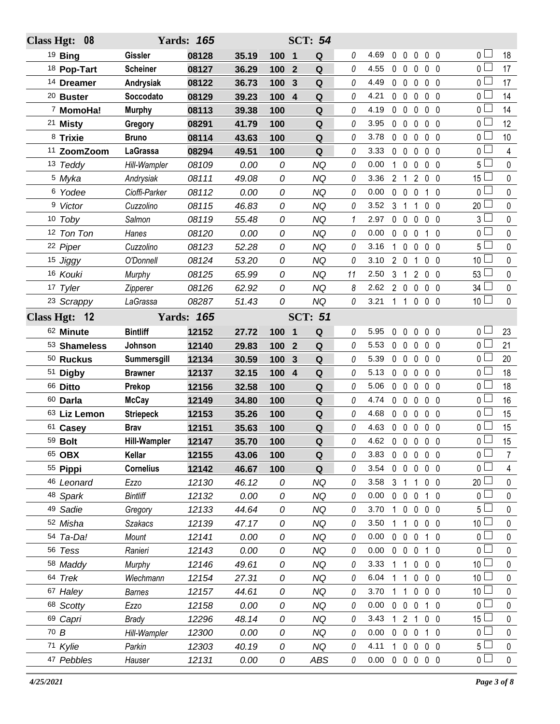| Class Hgt: 08          |                     | <b>Yards: 165</b> |       |                                | <b>SCT: 54</b> |          |                |                             |                     |                |                 |                |
|------------------------|---------------------|-------------------|-------|--------------------------------|----------------|----------|----------------|-----------------------------|---------------------|----------------|-----------------|----------------|
| <sup>19</sup> Bing     | <b>Gissler</b>      | 08128             | 35.19 | 100<br>$\mathbf 1$             | Q              | 0        | 4.69           | $0\quad 0$                  | $\overline{0}$      | 0 <sub>0</sub> | 0 <sub>1</sub>  | 18             |
| 18 Pop-Tart            | <b>Scheiner</b>     | 08127             | 36.29 | 100<br>$\overline{2}$          | Q              | 0        | 4.55           | $0\quad 0$                  | $\mathbf 0$         | 0 <sub>0</sub> | $0-$            | 17             |
| <sup>14</sup> Dreamer  | Andrysiak           | 08122             | 36.73 | 100<br>3                       | Q              | 0        | 4.49           | $0\quad 0$                  | $\mathbf 0$         | 0 <sub>0</sub> | 0 L             | 17             |
| <sup>20</sup> Buster   | Soccodato           | 08129             | 39.23 | 100<br>$\overline{4}$          | Q              | 0        | 4.21           | $0\quad 0$                  | $\mathbf 0$         | 0 <sub>0</sub> | 0 <sup>L</sup>  | 14             |
| <sup>7</sup> MomoHa!   | <b>Murphy</b>       | 08113             | 39.38 | 100                            | Q              | 0        | 4.19           | $0\quad 0$                  | $\mathbf 0$         | $0\quad 0$     | 0 L             | 14             |
| <sup>21</sup> Misty    | Gregory             | 08291             | 41.79 | 100                            | Q              | 0        | 3.95           | $0\quad 0$                  | $\mathbf 0$         | $0\quad 0$     | 0 <sup>1</sup>  | 12             |
| 8 Trixie               | <b>Bruno</b>        | 08114             | 43.63 | 100                            | Q              | 0        | 3.78           | $0\quad 0$                  | $\mathbf 0$         | $0\quad 0$     | 0 L             | 10             |
| <sup>11</sup> ZoomZoom | LaGrassa            | 08294             | 49.51 | 100                            | Q              | 0        | 3.33           | $0\quad 0$                  | $\mathbf 0$         | $0\quad 0$     | 0 <sub>0</sub>  | $\overline{4}$ |
| 13 Teddy               | Hill-Wampler        | 08109             | 0.00  | 0                              | <b>NQ</b>      | 0        | 0.00           | $\mathbf 0$<br>$\mathbf{1}$ | $\pmb{0}$           | $0\quad 0$     | 5 l             | 0              |
| <sup>5</sup> Myka      | Andrysiak           | 08111             | 49.08 | 0                              | <b>NQ</b>      | 0        | 3.36           | 2 <sub>1</sub>              | $\overline{2}$      | 0 <sub>0</sub> | 15 <sup>L</sup> | $\mathbf 0$    |
| 6 Yodee                | Cioffi-Parker       | 08112             | 0.00  | 0                              | <b>NQ</b>      | 0        | 0.00           | $0\quad 0$                  | $\mathbf 0$         | $1\quad0$      | 0 L             | 0              |
| 9 Victor               | Cuzzolino           | 08115             | 46.83 | 0                              | <b>NQ</b>      | 0        | 3.52           | 3 <sub>1</sub>              | $\mathbf 1$         | $0\quad 0$     | $20 -$          | 0              |
| 10 Toby                | Salmon              | 08119             | 55.48 | 0                              | <b>NQ</b>      | 1        | 2.97           | $0\quad 0$                  | $\mathbf 0$         | 0 <sub>0</sub> | 3 L             | 0              |
| 12 Ton Ton             | Hanes               | 08120             | 0.00  | 0                              | <b>NQ</b>      | 0        | 0.00           | $0\quad 0$                  | $\overline{0}$      | $1\quad0$      | 0 <sub>0</sub>  | $\mathbf 0$    |
| 22 Piper               | Cuzzolino           | 08123             | 52.28 | 0                              | <b>NQ</b>      | 0        | 3.16           | $\mathbf{1}$<br>$\mathbf 0$ | 0                   | 0 <sub>0</sub> | 5 l             | 0              |
| 15 Jiggy               | O'Donnell           | 08124             | 53.20 | 0                              | <b>NQ</b>      | 0        | 3.10           | $2\quad0$                   | $\mathbf 1$         | 0 <sub>0</sub> | 10 $\lfloor$    | 0              |
| 16 Kouki               | Murphy              | 08125             | 65.99 | 0                              | <b>NQ</b>      | 11       | 2.50           |                             | $3 \t1 \t2$         | 0 <sub>0</sub> | 53L             | 0              |
| 17 Tyler               | Zipperer            | 08126             | 62.92 | 0                              | <b>NQ</b>      | 8        | 2.62           |                             | 200                 | 0 <sub>0</sub> | 34 <sup>L</sup> | $\pmb{0}$      |
| <sup>23</sup> Scrappy  | LaGrassa            | 08287             | 51.43 | 0                              | <b>NQ</b>      | 0        | 3.21           |                             | 1 1 0 0 0           |                | 10 <sup>L</sup> | 0              |
| Class Hgt: 12          |                     | <b>Yards: 165</b> |       |                                | <b>SCT: 51</b> |          |                |                             |                     |                |                 |                |
| 62 Minute              | <b>Bintliff</b>     | 12152             | 27.72 | $\overline{\mathbf{1}}$<br>100 | Q              | 0        | 5.95           | $\mathbf 0$<br>$\mathbf 0$  | $\pmb{0}$           | 0 <sub>0</sub> | 0 L             | 23             |
| 53 Shameless           | Johnson             | 12140             | 29.83 | 100<br>$\mathbf{2}$            | ${\bf Q}$      | 0        | 5.53           | $0\quad 0$                  | 0                   | 0 <sub>0</sub> | 0 <sup>1</sup>  | 21             |
| 50 Ruckus              | Summersgill         | 12134             | 30.59 | 100<br>3                       | ${\bf Q}$      | 0        | 5.39           | $0\quad 0$                  | $\mathbf 0$         | 0 <sub>0</sub> | 0 <sup>1</sup>  | 20             |
| 51 Digby               | <b>Brawner</b>      | 12137             | 32.15 | 100<br>$\overline{4}$          | ${\bf Q}$      | 0        | 5.13           | $0\quad 0$                  | $\mathbf 0$         | $0\quad 0$     | $0\Gamma$       | 18             |
| 66 Ditto               | Prekop              | 12156             | 32.58 | 100                            | Q              | 0        | 5.06           | $0\quad 0$                  | $\mathbf 0$         | 0 <sub>0</sub> | 0 <sub>0</sub>  | 18             |
| 60 Darla               | <b>McCay</b>        | 12149             | 34.80 | 100                            | Q              | 0        | 4.74           | $0\quad 0$                  | $\mathbf 0$         | $0\quad 0$     | 0 L             | 16             |
| 63 Liz Lemon           | <b>Striepeck</b>    | 12153             | 35.26 | 100                            | ${\bf Q}$      | 0        | 4.68           | $0\quad 0$                  | $\mathbf 0$         | 0 <sub>0</sub> | 0 <sub>0</sub>  | 15             |
| 61 Casey               | <b>Brav</b>         | 12151             | 35.63 | 100                            | ${\bf Q}$      | 0        | 4.63           |                             | $0\quad 0\quad 0$   | 0 <sub>0</sub> | o L             | 15             |
| 59 Bolt                | <b>Hill-Wampler</b> | 12147             | 35.70 | 100                            | Q              | 0        | 4.62 0 0 0 0 0 |                             |                     |                | $\overline{0}$  | 15             |
| 65 OBX                 | Kellar              | 12155             | 43.06 | 100                            | Q              | 0        | 3.83           |                             | $0\,0\,0$           | $0\quad 0$     | 0 L             | 7              |
| 55 Pippi               | <b>Cornelius</b>    | 12142             | 46.67 | 100                            | Q              | 0        | 3.54           |                             | $0\quad 0\quad 0$   | 0 <sub>0</sub> | 0 L             | 4              |
| 46 Leonard             | Ezzo                | 12130             | 46.12 | 0                              | <b>NQ</b>      | 0        | 3.58           | 3 1                         | $\overline{1}$      | $0\quad 0$     | 20 <sup>L</sup> | 0              |
| 48 Spark               | <b>Bintliff</b>     | 12132             | 0.00  | 0                              | <b>NQ</b>      | 0        | 0.00           |                             | $0\quad 0\quad 0$   | $1\quad 0$     | 0 <sub>l</sub>  | $\mathbf 0$    |
| 49 Sadie               | Gregory             | 12133             | 44.64 | 0                              | <b>NQ</b>      | 0        | 3.70           |                             | 1 0 0               | $0\quad 0$     | 5 <sup>1</sup>  | 0              |
| 52 Misha               | Szakacs             | 12139             | 47.17 | 0                              | <b>NQ</b>      | 0        | 3.50           | $1\quad1$                   | $\mathbf 0$         | $0\quad 0$     | 10 $\lfloor$    | $\mathbf 0$    |
| 54 Ta-Da!              | Mount               | 12141             | 0.00  | 0                              | <b>NQ</b>      | 0        | 0.00           | $0\quad 0$                  | 0                   | 1 0            | 0 L             | 0              |
| 56 Tess                | Ranieri             | 12143             | 0.00  | 0                              | <b>NQ</b>      | 0        | 0.00           |                             | $0\quad 0\quad 0$   | $1\quad0$      | $0-$            | $\pmb{0}$      |
| 58 Maddy               | Murphy              | 12146             | 49.61 | 0                              | <b>NQ</b>      | 0        | 3.33           | 1 1                         | $\mathbf 0$         | $0\quad 0$     | 10 <sup>L</sup> | 0              |
| 64 Trek                | Wiechmann           | 12154             | 27.31 | 0                              | <b>NQ</b>      | 0        | 6.04           | 1<br>1                      | $\mathbf 0$         | 0 <sub>0</sub> | 10 <sup>1</sup> | $\pmb{0}$      |
| 67 Haley               | Barnes              | 12157             | 44.61 | 0                              | NQ             | 0        | 3.70           | 1<br>$\mathbf{1}$           | $\mathbf 0$         | $0\quad 0$     | 10 $\lfloor$    | 0              |
| 68 Scotty              | Ezzo                | 12158             | 0.00  | 0                              | <b>NQ</b>      | 0        | 0.00           | $0\quad 0$                  | $\overline{0}$      | $1\quad0$      | 0 <sub>0</sub>  | $\pmb{0}$      |
| 69 Capri               | <b>Brady</b>        | 12296             | 48.14 | 0                              | NQ             | 0        | 3.43           |                             | $1 \quad 2 \quad 1$ | $0\quad 0$     | 15 <sup>L</sup> | 0              |
| 70 B                   | Hill-Wampler        | 12300             | 0.00  | 0                              | <b>NQ</b>      | 0        | 0.00           |                             | $0\quad 0\quad 0$   | 1 0            | 0 <sub>l</sub>  | $\pmb{0}$      |
| 71 Kylie               | Parkin              | 12303             | 40.19 | 0                              | <b>NQ</b>      | 0        | 4.11           | $1\quad0$                   | $\mathbf{0}$        | $0\quad 0$     | 5 l             | 0              |
| 47 Pebbles             | Hauser              | 12131             | 0.00  | 0                              | ABS            | $\it{0}$ | 0.00           |                             | 00000               |                | 0 <sub>0</sub>  | $\mathbf 0$    |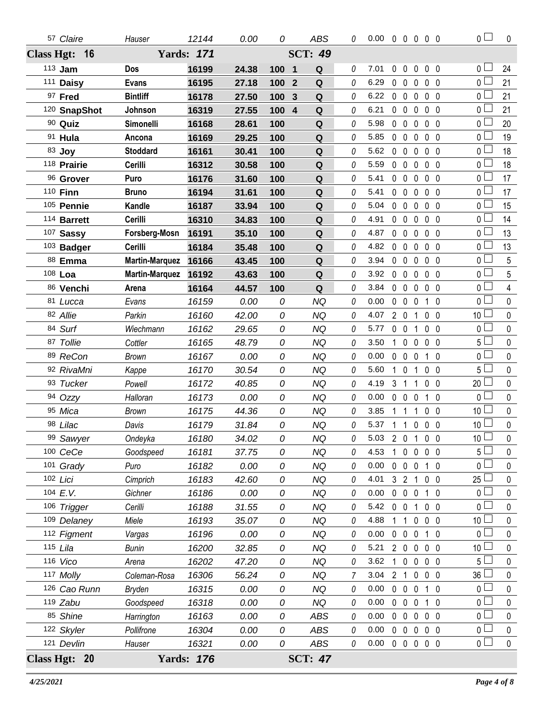| 57 Claire       | Hauser                | 12144             | 0.00  | 0   | ABS                          | 0        | $0.00 \t0 \t0 \t0 \t0 \t0$ |              |                   |                   |                | $\overline{0}$  | $\mathbf 0$ |
|-----------------|-----------------------|-------------------|-------|-----|------------------------------|----------|----------------------------|--------------|-------------------|-------------------|----------------|-----------------|-------------|
| Class Hgt: 16   |                       | <b>Yards: 171</b> |       |     | <b>SCT: 49</b>               |          |                            |              |                   |                   |                |                 |             |
| 113 Jam         | Dos                   | 16199             | 24.38 | 100 | $\overline{\mathbf{1}}$<br>Q | $\it{0}$ | 7.01                       | $0\quad 0$   |                   | $\mathbf 0$       | 0 <sub>0</sub> | 0 <sub>1</sub>  | 24          |
| 111 Daisy       | <b>Evans</b>          | 16195             | 27.18 | 100 | $\overline{2}$<br>Q          | 0        | 6.29                       | $0\quad 0$   |                   | $\mathbf 0$       | $0\quad 0$     | $0-$            | 21          |
| 97 Fred         | <b>Bintliff</b>       | 16178             | 27.50 | 100 | Q<br>$\mathbf{3}$            | 0        | 6.22                       | $0\quad 0$   |                   | $\mathbf 0$       | 0 <sub>0</sub> | 0 <sub>1</sub>  | 21          |
| 120 SnapShot    | Johnson               | 16319             | 27.55 | 100 | $\overline{4}$<br>Q          | 0        | 6.21                       | $0\quad 0$   |                   | $\mathbf 0$       | $0\quad 0$     | 0 <sub>l</sub>  | 21          |
| 90 Quiz         | Simonelli             | 16168             | 28.61 | 100 | Q                            | 0        | 5.98                       | $0\quad 0$   |                   | $\mathbf 0$       | $0\quad 0$     | 0 <sup>1</sup>  | 20          |
| 91 Hula         | Ancona                | 16169             | 29.25 | 100 | Q                            | 0        | 5.85                       | $0\quad 0$   |                   | $\mathbf 0$       | 0 <sub>0</sub> | $0^{\Box}$      | 19          |
| 83 Joy          | <b>Stoddard</b>       | 16161             | 30.41 | 100 | Q                            | 0        | 5.62                       | $0\quad 0$   |                   | $\mathbf 0$       | 0 <sub>0</sub> | $\overline{0}$  | 18          |
| 118 Prairie     | Cerilli               | 16312             | 30.58 | 100 | Q                            | 0        | 5.59                       | $0\quad 0$   |                   | $\mathbf 0$       | 0 <sub>0</sub> | 0 <sub>0</sub>  | 18          |
| 96 Grover       | Puro                  | 16176             | 31.60 | 100 | ${\bf Q}$                    | 0        | 5.41                       | $0\quad 0$   |                   | $\mathbf 0$       | 0 <sub>0</sub> | 0 <sup>1</sup>  | 17          |
| 110 <b>Finn</b> | <b>Bruno</b>          | 16194             | 31.61 | 100 | Q                            | 0        | 5.41                       | $0\quad 0$   |                   | $\mathbf 0$       | $0\quad 0$     | 0 <sub>0</sub>  | 17          |
| 105 Pennie      | Kandle                | 16187             | 33.94 | 100 | ${\bf Q}$                    | 0        | 5.04                       | $0\quad 0$   |                   | $\mathbf 0$       | $0\quad 0$     | 0 <sup>1</sup>  | 15          |
| 114 Barrett     | Cerilli               | 16310             | 34.83 | 100 | Q                            | 0        | 4.91                       | $0\quad 0$   |                   | $\mathbf 0$       | 0 <sub>0</sub> | 0 <sub>0</sub>  | 14          |
| 107 Sassy       | Forsberg-Mosn         | 16191             | 35.10 | 100 | ${\bf Q}$                    | 0        | 4.87                       | $0\quad 0$   |                   | $\mathbf 0$       | 0 <sub>0</sub> | $\overline{0}$  | 13          |
| 103 Badger      | Cerilli               | 16184             | 35.48 | 100 | Q                            | 0        | 4.82                       | $0\quad 0$   |                   | $\mathbf 0$       | 0 <sub>0</sub> | 0 <sup>2</sup>  | 13          |
| 88 Emma         | <b>Martin-Marquez</b> | 16166             | 43.45 | 100 | ${\bf Q}$                    | 0        | 3.94                       | $0\quad 0$   |                   | $\mathbf 0$       | $0\quad 0$     | $\overline{0}$  | 5           |
| 108 Loa         | <b>Martin-Marquez</b> | 16192             | 43.63 | 100 | Q                            | 0        | 3.92                       | $0\quad 0$   |                   | $\mathbf 0$       | 0 <sub>0</sub> | 0 <sub>0</sub>  | 5           |
| 86 Venchi       | Arena                 | 16164             | 44.57 | 100 | Q                            | 0        | 3.84                       | $0\quad 0$   |                   | $\mathbf 0$       | 0 <sub>0</sub> | 0 <sup>1</sup>  | 4           |
| 81 Lucca        | Evans                 | 16159             | 0.00  | 0   | <b>NQ</b>                    | 0        | 0.00                       | $0\quad 0$   |                   | $\mathbf 0$       | $1\quad0$      | $\overline{0}$  | $\pmb{0}$   |
| 82 Allie        | Parkin                | 16160             | 42.00 | 0   | <b>NQ</b>                    | 0        | 4.07                       | $2\quad0$    |                   | $\overline{1}$    | $0\quad 0$     | 10 <sup>1</sup> | $\pmb{0}$   |
| 84 Surf         | Wiechmann             | 16162             | 29.65 | 0   | <b>NQ</b>                    | 0        | 5.77                       | $0\quad 0$   |                   | $\overline{1}$    | 0 <sub>0</sub> | $\overline{0}$  | $\pmb{0}$   |
| 87 Tollie       | Cottler               | 16165             | 48.79 | 0   | <b>NQ</b>                    | 0        | 3.50                       |              | 1 0 0             |                   | 0 <sub>0</sub> | 5 <sub>1</sub>  | $\pmb{0}$   |
| 89 ReCon        | Brown                 | 16167             | 0.00  | 0   | <b>NQ</b>                    | 0        | 0.00                       | $0\quad 0$   |                   | $\mathbf{0}$      | 1 0            | $\overline{0}$  | $\mathbf 0$ |
| 92 RivaMni      | Kappe                 | 16170             | 30.54 | 0   | <b>NQ</b>                    | 0        | 5.60                       | $\mathbf 1$  | $\mathbf 0$       | $\mathbf{1}$      | 0 <sub>0</sub> | 5 <sup>0</sup>  | $\pmb{0}$   |
| 93 Tucker       | Powell                | 16172             | 40.85 | 0   | <b>NQ</b>                    | 0        | 4.19                       | 3 1          |                   | $\mathbf{1}$      | $0\quad 0$     | 20 <sup>2</sup> | $\pmb{0}$   |
| 94 Ozzy         | Halloran              | 16173             | 0.00  | 0   | <b>NQ</b>                    | 0        | 0.00                       |              | $0\quad 0\quad 0$ |                   | $1\quad0$      | $\overline{0}$  | $\pmb{0}$   |
| 95 Mica         | Brown                 | 16175             | 44.36 | 0   | <b>NQ</b>                    | 0        | 3.85                       | $\mathbf{1}$ | $\overline{1}$    | $\mathbf{1}$      | 0 <sub>0</sub> | 10 <sup>5</sup> | $\mathbf 0$ |
| 98 Lilac        | Davis                 | 16179             | 31.84 | 0   | <b>NQ</b>                    | $\theta$ | 5.37                       | $1\quad1$    |                   | $0\quad 0\quad 0$ |                | 10 <sup>2</sup> | $\pmb{0}$   |
| 99 Sawyer       | Ondeyka               | 16180             | 34.02 | 0   | <b>NQ</b>                    | 0        | $5.03$ 2 0 1 0 0           |              |                   |                   |                | 10 <sup>2</sup> | $\mathbf 0$ |
| 100 CeCe        | Goodspeed             | 16181             | 37.75 | 0   | <b>NQ</b>                    | 0        | 4.53                       |              | 1 0 0 0 0         |                   |                | 5 <sup>1</sup>  | 0           |
| 101 Grady       | Puro                  | 16182             | 0.00  | 0   | <b>NQ</b>                    | 0        | 0.00                       |              | $0\quad 0\quad 0$ |                   | 1 0            | 0 <sub>0</sub>  | 0           |
| 102 Lici        | Cimprich              | 16183             | 42.60 | 0   | <b>NQ</b>                    | 0        | 4.01                       |              | 3 2 1             |                   | $0\quad 0$     | $25 \perp$      | 0           |
| 104 E.V.        | Gichner               | 16186             | 0.00  | 0   | <b>NQ</b>                    | 0        | 0.00                       |              | $0\quad 0\quad 0$ |                   | $1\quad0$      | 0 <sub>0</sub>  | 0           |
| 106 Trigger     | Cerilli               | 16188             | 31.55 | 0   | <b>NQ</b>                    | 0        | 5.42                       | $0\quad 0$   |                   | $\overline{1}$    | $0\quad 0$     | 0 <sub>0</sub>  | 0           |
| 109 Delaney     | Miele                 | 16193             | 35.07 | 0   | <b>NQ</b>                    | 0        | 4.88                       |              | 1                 | $\mathbf 0$       | $0\quad 0$     | 10 <sup>L</sup> | 0           |
| 112 Figment     | Vargas                | 16196             | 0.00  | 0   | <b>NQ</b>                    | 0        | 0.00                       |              | $0\quad 0\quad 0$ |                   | $1\quad0$      | 0 <sub>0</sub>  | 0           |
| 115 Lila        | Bunin                 | 16200             | 32.85 | 0   | <b>NQ</b>                    | 0        | 5.21                       |              | 2 0 0 0 0         |                   |                | 10 <sup>2</sup> | 0           |
| 116 Vico        | Arena                 | 16202             | 47.20 | 0   | <b>NQ</b>                    | 0        | 3.62                       |              | 1 0 0 0 0         |                   |                | $5\Box$         | 0           |
| 117 Molly       | Coleman-Rosa          | 16306             | 56.24 | 0   | <b>NQ</b>                    | 7        | 3.04                       | 2 1          |                   | $\mathbf 0$       | $0\quad 0$     | 36 L            | 0           |
| 126 Cao Runn    | Bryden                | 16315             | 0.00  | 0   | <b>NQ</b>                    | 0        | 0.00                       |              | $0\quad 0\quad 0$ |                   | $1\quad0$      | 0 <sub>0</sub>  | 0           |
| $119$ Zabu      | Goodspeed             | 16318             | 0.00  | 0   | NQ                           | 0        | 0.00                       | $0\quad 0$   |                   | $\mathbf 0$       | 1 0            | 0 <sub>0</sub>  | 0           |
| 85 Shine        | Harrington            | 16163             | 0.00  | 0   | <b>ABS</b>                   | 0        | 0.00                       |              | 00000             |                   |                | 0 <sup>1</sup>  | 0           |
| 122 Skyler      | Pollifrone            | 16304             | 0.00  | 0   | ABS                          | 0        | 0.00                       | $0\quad 0$   |                   | $\mathbf 0$       | 0 <sub>0</sub> | $\overline{0}$  | 0           |
| 121 Devlin      | Hauser                | 16321             | 0.00  | 0   | ABS                          | 0        | 0.00                       |              | $00000$           |                   |                | $_0 \sqcup$     | $\mathbf 0$ |
| Class Hgt: 20   |                       | <b>Yards: 176</b> |       |     | <b>SCT: 47</b>               |          |                            |              |                   |                   |                |                 |             |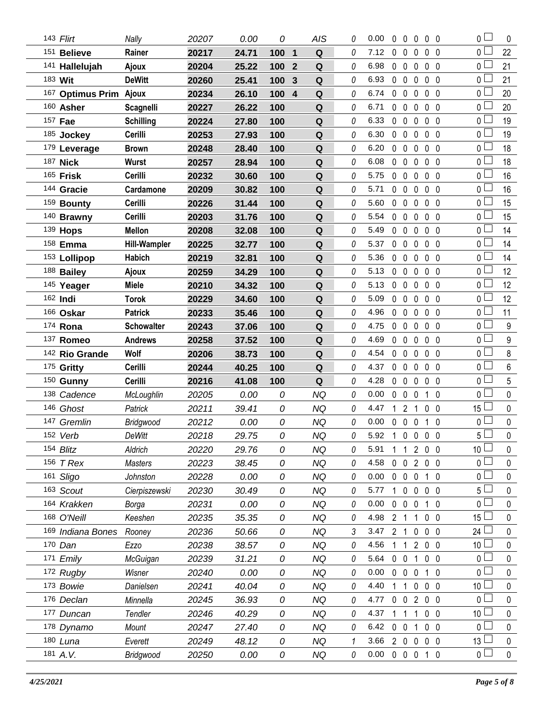| 143 Flirt              | Nally               | 20207 | 0.00  | 0   | AIS                                    | 0 | 0.00 | 0              | 0              | $\mathbf{0}$   | $0\quad 0$     | $\overline{0}$  | 0           |
|------------------------|---------------------|-------|-------|-----|----------------------------------------|---|------|----------------|----------------|----------------|----------------|-----------------|-------------|
| 151 Believe            | Rainer              | 20217 | 24.71 | 100 | $\mathbf{1}$<br>$\mathbf Q$            | 0 | 7.12 | $\mathbf 0$    | $\mathbf 0$    | 0              | 0 <sub>0</sub> | $0\perp$        | 22          |
| 141 Hallelujah         | Ajoux               | 20204 | 25.22 | 100 | $\mathbf Q$<br>$\overline{2}$          | 0 | 6.98 | $0\quad 0$     |                | $\mathbf 0$    | 0 <sub>0</sub> | 0 L             | 21          |
| 183 Wit                | <b>DeWitt</b>       | 20260 | 25.41 | 100 | Q<br>3                                 | 0 | 6.93 | $\mathbf{0}$   | $\mathbf 0$    | 0              | 0 <sub>0</sub> | 0 L             | 21          |
| 167 Optimus Prim Ajoux |                     | 20234 | 26.10 | 100 | $\overline{\mathbf{4}}$<br>$\mathbf Q$ | 0 | 6.74 | $\mathbf{0}$   | $\overline{0}$ | $\mathbf{0}$   | 0 <sub>0</sub> | 0 L             | 20          |
| 160 Asher              | <b>Scagnelli</b>    | 20227 | 26.22 | 100 | ${\bf Q}$                              | 0 | 6.71 | $0\quad 0$     |                | 0              | 0 <sub>0</sub> | 0 <sub>l</sub>  | 20          |
| 157 Fae                | <b>Schilling</b>    | 20224 | 27.80 | 100 | ${\bf Q}$                              | 0 | 6.33 | $0\quad 0$     |                | $\mathbf 0$    | $0\quad 0$     | 0 <sub>l</sub>  | 19          |
| 185 Jockey             | Cerilli             | 20253 | 27.93 | 100 | ${\bf Q}$                              | 0 | 6.30 | $0\quad 0$     |                | 0              | 0 <sub>0</sub> | 0 <sup>1</sup>  | 19          |
| 179 Leverage           | <b>Brown</b>        | 20248 | 28.40 | 100 | Q                                      | 0 | 6.20 | $0\quad 0$     |                | 0              | 0 <sub>0</sub> | 0 <sub>0</sub>  | 18          |
| 187 Nick               | <b>Wurst</b>        | 20257 | 28.94 | 100 | Q                                      | 0 | 6.08 | $\mathbf 0$    | $\overline{0}$ | 0              | 0 <sub>0</sub> | 0 <sub>0</sub>  | 18          |
| 165 Frisk              | Cerilli             | 20232 | 30.60 | 100 | Q                                      | 0 | 5.75 | $0\quad 0$     |                | 0              | 0 <sub>0</sub> | 0 <sub>0</sub>  | 16          |
| 144 Gracie             | Cardamone           | 20209 | 30.82 | 100 | ${\bf Q}$                              | 0 | 5.71 | $0\quad 0$     |                | 0              | 0 <sub>0</sub> | 0 <sub>0</sub>  | 16          |
| 159 Bounty             | Cerilli             | 20226 | 31.44 | 100 | Q                                      | 0 | 5.60 | $0\quad 0$     |                | $\mathbf{0}$   | 0 <sub>0</sub> | 0 L             | 15          |
| 140 Brawny             | Cerilli             | 20203 | 31.76 | 100 | $\mathbf Q$                            | 0 | 5.54 | 0              | $\mathbf 0$    | 0              | 0 <sub>0</sub> | 0 <sub>0</sub>  | 15          |
| 139 <b>Hops</b>        | <b>Mellon</b>       | 20208 | 32.08 | 100 | Q                                      | 0 | 5.49 | $0\quad 0$     |                | $\mathbf 0$    | 0 <sub>0</sub> | 0 L             | 14          |
| 158 Emma               | <b>Hill-Wampler</b> | 20225 | 32.77 | 100 | ${\bf Q}$                              | 0 | 5.37 | $0\quad 0$     |                | 0              | 0 <sub>0</sub> | 0 <sub>0</sub>  | 14          |
| 153 Lollipop           | <b>Habich</b>       | 20219 | 32.81 | 100 | Q                                      | 0 | 5.36 | $0\quad 0$     |                | 0              | $0\quad 0$     | 0 L             | 14          |
| 188 Bailey             | Ajoux               | 20259 | 34.29 | 100 | ${\bf Q}$                              | 0 | 5.13 | 0              | $\mathbf 0$    | 0              | 0 <sub>0</sub> | 0 <sub>0</sub>  | 12          |
| 145 Yeager             | <b>Miele</b>        | 20210 | 34.32 | 100 | $\mathbf Q$                            | 0 | 5.13 | $0\quad 0$     |                | $\mathbf 0$    | 0 <sub>0</sub> | 0 <sup>1</sup>  | 12          |
| 162 Indi               | <b>Torok</b>        | 20229 | 34.60 | 100 | ${\bf Q}$                              | 0 | 5.09 | $\mathbf{0}$   | $\overline{0}$ | 0              | 0 <sub>0</sub> | 0 <sub>0</sub>  | 12          |
| 166 Oskar              | <b>Patrick</b>      | 20233 | 35.46 | 100 | Q                                      | 0 | 4.96 | $0\quad 0$     |                | $\mathbf 0$    | $0\quad 0$     | 0 <sub>0</sub>  | 11          |
| 174 Rona               | <b>Schowalter</b>   | 20243 | 37.06 | 100 | $\mathbf Q$                            | 0 | 4.75 | $\mathbf{0}$   | $\mathbf 0$    | 0              | $0\quad 0$     | 0 <sup>1</sup>  | 9           |
| 137 Romeo              | <b>Andrews</b>      | 20258 | 37.52 | 100 | ${\bf Q}$                              | 0 | 4.69 | $\mathbf{0}$   | $\mathbf 0$    | $\mathbf 0$    | 0 <sub>0</sub> | $0^{\square}$   | 9           |
|                        |                     |       | 38.73 | 100 | Q                                      | 0 | 4.54 | $\mathbf{0}$   | $\overline{0}$ | $\mathbf{0}$   | $0\quad 0$     | 0 <sub>1</sub>  | 8           |
| 142 Rio Grande         | Wolf                | 20206 |       |     |                                        |   |      |                |                |                |                |                 |             |
| 175 Gritty             | Cerilli             | 20244 | 40.25 | 100 | ${\bf Q}$                              | 0 | 4.37 | 0 <sub>0</sub> |                | $\mathbf{0}$   | $0\quad 0$     | $0 \Box$        | 6           |
| 150 Gunny              | Cerilli             | 20216 | 41.08 | 100 | Q                                      | 0 | 4.28 | $\mathbf 0$    | $\mathbf 0$    | 0              | $0\quad 0$     | 0 <sub>0</sub>  | 5           |
| 138 Cadence            | McLoughlin          | 20205 | 0.00  | 0   | <b>NQ</b>                              | 0 | 0.00 | $\mathbf{0}$   | $\mathbf 0$    | $\pmb{0}$      | 1<br>0         | 0 <sub>0</sub>  | 0           |
| 146 Ghost              | Patrick             | 20211 | 39.41 | 0   | <b>NQ</b>                              | 0 | 4.47 | 1              | $\overline{2}$ | 1              | 0 <sub>0</sub> | $15\perp$       | 0           |
| 147 Gremlin            | Bridgwood           | 20212 | 0.00  | 0   | <b>NQ</b>                              | 0 | 0.00 | 0              | $\mathbf 0$    | 0              | 1 <sub>0</sub> | 0 <sub>0</sub>  | 0           |
| 152 Verb               | <b>DeWitt</b>       | 20218 | 29.75 | 0   | <b>NQ</b>                              | 0 | 5.92 | $\overline{1}$ | $\mathbf 0$    | $\mathbf 0$    | 0 <sub>0</sub> | $5\Box$         | $\mathbf 0$ |
| 154 Blitz              | Aldrich             | 20220 | 29.76 | 0   | NQ                                     | 0 | 5.91 |                | 11             |                | 200            | 10 <sup>1</sup> | 0           |
| 156 <i>T Rex</i>       | <b>Masters</b>      | 20223 | 38.45 | 0   | <b>NQ</b>                              | 0 | 4.58 | $\mathbf{0}$   | 0              | $\overline{2}$ | $0\quad 0$     | 0 <sup>1</sup>  | 0           |
| 161 Sligo              | Johnston            | 20228 | 0.00  | 0   | <b>NQ</b>                              | 0 | 0.00 | $0\quad 0$     |                | 0              | 1 0            | $\mathbf{0}$    | 0           |
| 163 Scout              | Cierpiszewski       | 20230 | 30.49 | 0   | <b>NQ</b>                              | 0 | 5.77 | 1              | $\mathbf 0$    | 0              | 0 <sub>0</sub> | 5 <sub>1</sub>  | 0           |
| 164 Krakken            | Borga               | 20231 | 0.00  | 0   | <b>NQ</b>                              | 0 | 0.00 | $\mathbf{0}$   | $\mathbf 0$    | 0              | 1 0            | 0 l             | 0           |
| 168 O'Neill            | Keeshen             | 20235 | 35.35 | 0   | <b>NQ</b>                              | 0 | 4.98 | 2 <sub>1</sub> |                | $\mathbf 1$    | 0 <sub>0</sub> | $15\perp$       | 0           |
| 169 Indiana Bones      | Rooney              | 20236 | 50.66 | 0   | <b>NQ</b>                              | 3 | 3.47 | 2 <sub>1</sub> |                | $\mathbf 0$    | $0\quad 0$     | 24 <sup>1</sup> | 0           |
| 170 Dan                | Ezzo                | 20238 | 38.57 | 0   | <b>NQ</b>                              | 0 | 4.56 | 11             |                | $\overline{2}$ | $0\quad 0$     | 10 <sup>2</sup> | 0           |
| 171 Emily              | McGuigan            | 20239 | 31.21 | 0   | NQ                                     | 0 | 5.64 | $\mathbf{0}$   | $\mathbf 0$    | 1              | 0 <sub>0</sub> | 0 <sub>0</sub>  | 0           |
| 172 Rugby              | Wisner              | 20240 | 0.00  | 0   | <b>NQ</b>                              | 0 | 0.00 | $\mathbf{0}$   | $\overline{0}$ | 0              | $1\quad0$      | $0-$            | 0           |
| 173 Bowie              | Danielsen           | 20241 | 40.04 | 0   | NQ                                     | 0 | 4.40 | 1              | -1             | $\mathbf 0$    | $0\quad 0$     | 10 <sup>°</sup> | 0           |
| 176 Declan             | Minnella            | 20245 | 36.93 | 0   | NQ                                     | 0 | 4.77 | $0\quad 0$     |                | $\overline{2}$ | $0\quad 0$     | 0 <sub>0</sub>  | 0           |
| 177 Duncan             | Tendler             | 20246 | 40.29 | 0   | <b>NQ</b>                              | 0 | 4.37 | 1              | -1             | 1              | $0\quad 0$     | 10 <sup>1</sup> | 0           |
| 178 Dynamo             | Mount               | 20247 | 27.40 | 0   | <b>NQ</b>                              | 0 | 6.42 | $0\quad 0$     |                | $\mathbf{1}$   | $0\quad 0$     | $0-$            | 0           |
| 180 Luna               | Everett             | 20249 | 48.12 | 0   | <b>NQ</b>                              |   | 3.66 | $2\quad0$      |                | 0              | $0\quad 0$     | 13 <sup>L</sup> | 0           |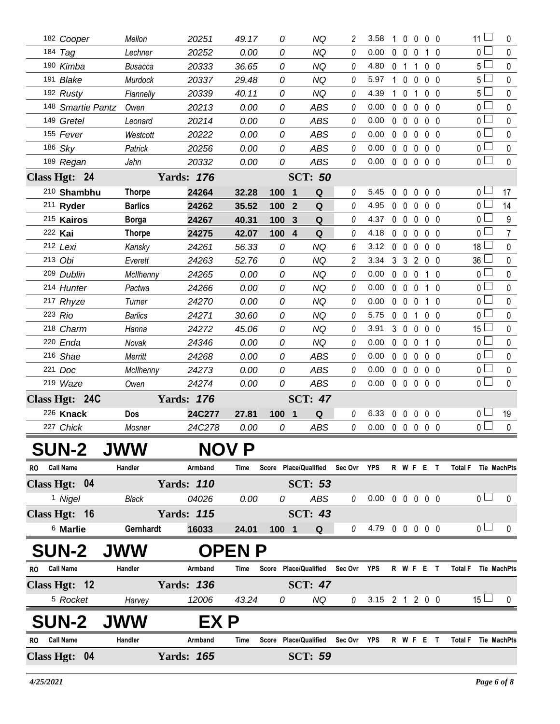|              | 182 Cooper          | Mellon         | 20251             | 49.17        | 0     | NQ                           | 2              | 3.58                       | 1              | $\overline{0}$    | $0\quad 0\quad 0$ |                   |                     | 11             | 0                  |
|--------------|---------------------|----------------|-------------------|--------------|-------|------------------------------|----------------|----------------------------|----------------|-------------------|-------------------|-------------------|---------------------|----------------|--------------------|
|              | 184 Tag             | Lechner        | 20252             | 0.00         | 0     | NQ                           | 0              | 0.00                       | $\mathbf{0}$   | $\overline{0}$    | $\mathbf{0}$<br>1 | 0                 |                     | 0 <sub>1</sub> | 0                  |
|              | 190 Kimba           | <b>Busacca</b> | 20333             | 36.65        | 0     | <b>NQ</b>                    | 0              | 4.80                       | 0 <sub>1</sub> |                   | 1                 | 0 <sub>0</sub>    |                     | 5 <sub>1</sub> | $\pmb{0}$          |
|              | 191 Blake           | Murdock        | 20337             | 29.48        | 0     | NQ                           | 0              | 5.97                       |                | $1\quad0$         | 0                 | 0 <sub>0</sub>    |                     | 5 <sub>1</sub> | $\mathbf 0$        |
|              | 192 Rusty           | Flannelly      | 20339             | 40.11        | 0     | <b>NQ</b>                    | 0              | 4.39                       |                | $1\quad 0$        | 1                 | $0\quad 0$        |                     | 5 <sub>1</sub> | 0                  |
|              | 148 Smartie Pantz   | Owen           | 20213             | 0.00         | 0     | <b>ABS</b>                   | 0              | 0.00                       |                | $0\quad 0$        | 0                 | $0\quad 0$        |                     | 0 <sub>0</sub> | 0                  |
|              | 149 Gretel          | Leonard        | 20214             | 0.00         | 0     | <b>ABS</b>                   | 0              | 0.00                       | 0 <sub>0</sub> |                   | $\mathbf 0$       | 0 <sub>0</sub>    |                     | 0 <sub>0</sub> | 0                  |
|              | 155 Fever           | Westcott       | 20222             | 0.00         | 0     | <b>ABS</b>                   | 0              | 0.00                       |                | $0\quad 0$        | $\mathbf 0$       | 0 <sub>0</sub>    |                     | 0 <sub>1</sub> | 0                  |
|              | 186 Sky             | Patrick        | 20256             | 0.00         | 0     | <b>ABS</b>                   | 0              | 0.00                       |                | $0\quad 0$        | $\mathbf 0$       | $0\quad 0$        |                     | 0 <sub>0</sub> | $\pmb{0}$          |
|              | 189 Regan           | Jahn           | 20332             | 0.00         | 0     | <b>ABS</b>                   | 0              | 0.00                       |                | $0\quad 0$        | $0\quad 0\quad 0$ |                   |                     | $\overline{0}$ | $\pmb{0}$          |
|              | Class Hgt: 24       |                | <b>Yards: 176</b> |              |       | <b>SCT: 50</b>               |                |                            |                |                   |                   |                   |                     |                |                    |
|              | 210 Shambhu         | <b>Thorpe</b>  | 24264             | 32.28        | 100   | Q<br>$\overline{\mathbf{1}}$ | 0              | 5.45                       | $\mathbf{0}$   | $\mathbf{0}$      | $\mathbf{0}$      | $0\quad 0$        |                     | 0 <sub>0</sub> | 17                 |
|              | 211 Ryder           | <b>Barlics</b> | 24262             | 35.52        | 100   | Q<br>$\boldsymbol{2}$        | 0              | 4.95                       | $\mathbf{0}$   | $\mathbf 0$       | 0                 | 0 <sub>0</sub>    |                     | 0 <sub>0</sub> | 14                 |
|              | 215 Kairos          | <b>Borga</b>   | 24267             | 40.31        | 100   | Q<br>$\mathbf{3}$            | 0              | 4.37                       |                | $0\quad 0$        | 0                 | $0\quad 0$        |                     | 0 <sub>1</sub> | $\boldsymbol{9}$   |
|              | 222 Kai             | <b>Thorpe</b>  | 24275             | 42.07        | 100 4 | Q                            | 0              | 4.18                       |                | $0\quad 0$        | 0                 | $0\quad 0$        |                     | 0 <sub>0</sub> | $\overline{7}$     |
|              | 212 Lexi            | Kansky         | 24261             | 56.33        | 0     | <b>NQ</b>                    | 6              | 3.12                       |                | $0\quad 0$        | $\mathbf{0}$      | 0 <sub>0</sub>    |                     | $18\perp$      | 0                  |
|              | 213 Obi             | Everett        | 24263             | 52.76        | 0     | NQ                           | $\overline{c}$ | 3.34                       |                | 3 3               | 200               |                   |                     | $36 \Box$      | 0                  |
|              | 209 Dublin          | McIlhenny      | 24265             | 0.00         | 0     | <b>NQ</b>                    | 0              | 0.00                       |                | $0\quad 0$        | 0<br>1            | 0                 |                     | 0 <sub>0</sub> | 0                  |
|              | 214 Hunter          | Pactwa         | 24266             | 0.00         | 0     | NQ                           | 0              | 0.00                       |                | $0\quad 0$        | $\mathbf 0$       | $1\quad$ $\Omega$ |                     | 0 <sub>0</sub> | 0                  |
|              | 217 Rhyze           | Turner         | 24270             | 0.00         | 0     | NQ                           | 0              | 0.00                       |                | $0\quad 0$        | $\mathbf 0$       | $1\quad0$         |                     | 0 <sub>1</sub> | 0                  |
|              | 223 Rio             | <b>Barlics</b> | 24271             | 30.60        | 0     | <b>NQ</b>                    | 0              | 5.75                       |                | $0\quad 0$        | $\mathbf{1}$      | $0\quad 0$        |                     | 0 <sub>1</sub> | $\mathbf 0$        |
|              | 218 Charm           | Hanna          | 24272             | 45.06        | 0     | <b>NQ</b>                    | 0              | 3.91                       |                | 3 <sub>0</sub>    | 0                 | 0 <sub>0</sub>    |                     | $15\perp$      | $\pmb{0}$          |
|              | 220 Enda            | Novak          | 24346             | 0.00         | 0     | NQ                           | 0              | 0.00                       |                | $0\quad 0$        | $\mathbf 0$       | $1\quad0$         |                     | 0 <sub>1</sub> | $\pmb{0}$          |
|              | 216 Shae            | Merritt        | 24268             | 0.00         | 0     | <b>ABS</b>                   | 0              | 0.00                       |                | $0\quad 0$        | $\mathbf 0$       | $0\quad 0$        |                     | 0 <sub>0</sub> | $\pmb{0}$          |
|              | 221 Doc             | McIlhenny      | 24273             | 0.00         | 0     | <b>ABS</b>                   | 0              | 0.00                       |                | $0\quad 0$        | $\mathbf 0$       | $0\quad 0$        |                     | 0 <sub>0</sub> | $\pmb{0}$          |
|              | 219 Waze            | Owen           | 24274             | 0.00         | 0     | ABS                          | 0              | 0.00                       |                | $0\quad 0\quad 0$ |                   | 0 <sub>0</sub>    |                     | 0 <sub>0</sub> | $\mathbf 0$        |
|              | Class Hgt: 24C      |                | <b>Yards: 176</b> |              |       | <b>SCT: 47</b>               |                |                            |                |                   |                   |                   |                     |                |                    |
|              | 226 Knack           | Dos            | 24C277            | 27.81        | 100 1 | Q                            | 0              | 6.33                       |                | $0\quad 0$        | $\mathbf 0$       | 0 <sub>0</sub>    |                     | 0 <sub>1</sub> | 19                 |
|              | 227 Chick           | Mosner         | 24C278            | 0.00         | 0     | <b>ABS</b>                   | 0              | 0.00                       |                | $0\quad 0$        | $\mathbf{0}$      | $0\quad 0$        |                     | 0 <sub>0</sub> | $\pmb{0}$          |
|              | <b>SUN-2</b>        | <b>JWW</b>     |                   | NOV P        |       |                              |                |                            |                |                   |                   |                   |                     |                |                    |
| RO Call Name |                     | Handler        | Armband           | Time         |       | Score Place/Qualified        | Sec Ovr        | <b>YPS</b>                 |                |                   | R W F E T         |                   | Total F Tie MachPts |                |                    |
|              | Class Hgt: 04       |                | <b>Yards: 110</b> |              |       | <b>SCT: 53</b>               |                |                            |                |                   |                   |                   |                     |                |                    |
|              | <sup>1</sup> Nigel  | Black          | 04026             | 0.00         | 0     | ABS                          | 0              | $0.00 \t0 \t0 \t0 \t0 \t0$ |                |                   |                   |                   |                     | 0 <sub>1</sub> | 0                  |
|              | Class Hgt: 16       |                | <b>Yards: 115</b> |              |       | <b>SCT: 43</b>               |                |                            |                |                   |                   |                   |                     |                |                    |
|              | <sup>6</sup> Marlie | Gernhardt      | 16033             | 24.01        | 100 1 | Q                            | 0              | 4.79 0 0 0 0 0             |                |                   |                   |                   |                     | 0 <sub>1</sub> | 0                  |
|              | <b>SUN-2</b>        | <b>JWW</b>     |                   | <b>OPENP</b> |       |                              |                |                            |                |                   |                   |                   |                     |                |                    |
|              | <b>Call Name</b>    | Handler        |                   |              |       | Score Place/Qualified        | Sec Ovr        | <b>YPS</b>                 |                |                   |                   | $\mathsf{T}$      |                     |                |                    |
| <b>RO</b>    |                     |                | Armband           | Time         |       |                              |                |                            |                |                   | RWFE              |                   | <b>Total F</b>      |                | Tie MachPts        |
|              | Class Hgt: 12       |                | <b>Yards: 136</b> |              |       | <b>SCT: 47</b>               |                |                            |                |                   |                   |                   |                     |                |                    |
|              | <sup>5</sup> Rocket | Harvey         | 12006             | 43.24        | 0     | ΝQ                           | 0              | $3.15$ 2 1 2 0 0           |                |                   |                   |                   |                     | $15 \Box$      | 0                  |
|              | <b>SUN-2</b>        | <b>JWW</b>     | EX P              |              |       |                              |                |                            |                |                   |                   |                   |                     |                |                    |
| <b>RO</b>    | <b>Call Name</b>    | Handler        | Armband           | Time         | Score | <b>Place/Qualified</b>       | Sec Ovr        | YPS                        |                |                   | R W F E           | T                 | <b>Total F</b>      |                | <b>Tie MachPts</b> |
|              | Class Hgt: 04       |                | <b>Yards: 165</b> |              |       | <b>SCT: 59</b>               |                |                            |                |                   |                   |                   |                     |                |                    |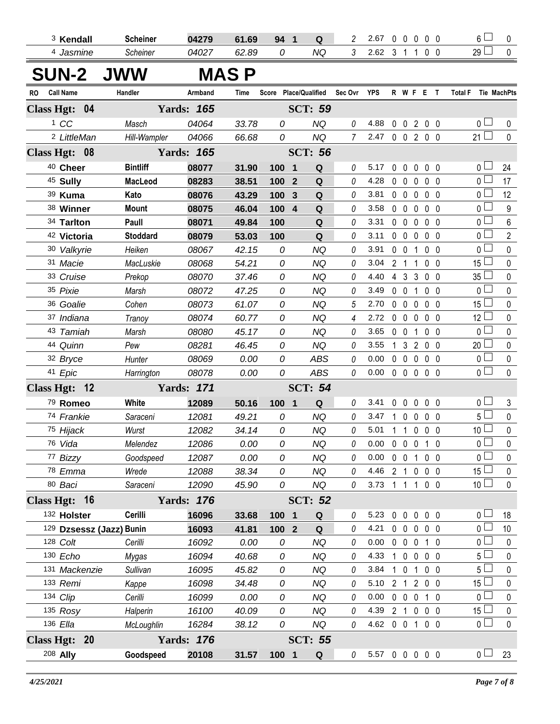|              | <sup>3</sup> Kendall   | <b>Scheiner</b>          | 04279             | 61.69       | 94 1       | Q                             | 2              | 2.67                       |                | $0\quad 0$     | $\mathbf 0$         |                   | 0 <sub>0</sub> | 6<br>0                                   |
|--------------|------------------------|--------------------------|-------------------|-------------|------------|-------------------------------|----------------|----------------------------|----------------|----------------|---------------------|-------------------|----------------|------------------------------------------|
|              | 4 Jasmine              | Scheiner                 | 04027             | 62.89       | 0          | <b>NQ</b>                     | $\mathfrak{Z}$ | 2.62 3 1 1 0 0             |                |                |                     |                   |                | 29 <sup>1</sup><br>$\mathbf 0$           |
|              |                        | <b>SUN-2 JWW</b>         |                   | <b>MASP</b> |            |                               |                |                            |                |                |                     |                   |                |                                          |
| RO Call Name |                        | Handler                  | Armband           | Time        |            | Score Place/Qualified         | Sec Ovr YPS    |                            |                |                | R W F E T           |                   |                | Total F Tie MachPts                      |
|              | Class Hgt: 04          |                          | <b>Yards: 165</b> |             |            | <b>SCT: 59</b>                |                |                            |                |                |                     |                   |                |                                          |
|              | 1 CC                   | Masch                    | 04064             | 33.78       | 0          | <b>NQ</b>                     | 0              | 4.88                       |                |                | $0 \t0 \t2$         |                   | $0\quad 0$     | 0 l<br>0                                 |
|              | <sup>2</sup> LittleMan | Hill-Wampler             | 04066             | 66.68       | 0          | <b>NQ</b>                     | $\overline{7}$ | 2.47 0 0 2 0 0             |                |                |                     |                   |                | $21 \square$<br>$\mathbf 0$              |
|              | Class Hgt: 08          |                          | <b>Yards: 165</b> |             |            | <b>SCT: 56</b>                |                |                            |                |                |                     |                   |                |                                          |
|              | 40 Cheer               | <b>Bintliff</b>          | 08077             | 31.90       | 100        | $\mathbf Q$<br>$\overline{1}$ | 0              | 5.17                       | $\mathbf 0$    | $\mathbf 0$    | $\mathbf 0$         |                   | 0 <sub>0</sub> | 0 l<br>24                                |
|              | <sup>45</sup> Sully    | <b>MacLeod</b>           | 08283             | 38.51       | 100        | Q<br>$\overline{2}$           | 0              | 4.28                       |                |                | $0\quad 0\quad 0$   |                   | 0 <sub>0</sub> | $\overline{0}$<br>17                     |
|              | 39 Kuma                | Kato                     | 08076             | 43.29       | 100        | Q<br>$\mathbf{3}$             | 0              | 3.81                       |                |                | $0\quad 0\quad 0$   |                   | 0 <sub>0</sub> | 12<br>0 l                                |
|              | 38 Winner              | <b>Mount</b>             | 08075             | 46.04       | 100        | Q<br>$\overline{4}$           | 0              | 3.58                       |                |                | 0 0 0 0 0           |                   |                | $\overline{0}$<br>$9\,$                  |
|              | 34 Tarlton             | Paull                    | 08071             | 49.84       | 100        | $\mathbf Q$                   | 0              | 3.31                       |                |                | $0\quad 0\quad 0$   |                   | 0 <sub>0</sub> | 0 l<br>$\,6\,$                           |
|              | 42 Victoria            | <b>Stoddard</b>          | 08079             | 53.03       | 100        | Q                             | 0              | 3.11                       |                |                | $0\quad 0\quad 0$   | $0\quad 0$        |                | $\overline{0}$<br>$\overline{2}$         |
|              | 30 Valkyrie            | Heiken                   | 08067             | 42.15       | 0          | <b>NQ</b>                     | 0              | 3.91                       |                |                | $0 \t0 \t1$         |                   | 0 <sub>0</sub> | $\overline{0}$<br>$\pmb{0}$              |
|              | 31 Macie               | MacLuskie                | 08068             | 54.21       | 0          | <b>NQ</b>                     | 0              | 3.04                       |                |                | $2 \t1 \t1$         |                   | 0 <sub>0</sub> | $15\Box$<br>$\pmb{0}$                    |
|              | 33 Cruise              | Prekop                   | 08070             | 37.46       | 0          | <b>NQ</b>                     | 0              | 4.40                       |                |                | 4 3 3 0 0           |                   |                | 35 <sup>5</sup><br>$\pmb{0}$             |
|              | 35 Pixie               | Marsh                    | 08072             | 47.25       | 0          | <b>NQ</b>                     | 0              | 3.49                       |                |                | 0 0 1 0 0           |                   |                | $\overline{0}$<br>$\pmb{0}$              |
|              | 36 Goalie              | Cohen                    | 08073             | 61.07       | 0          | <b>NQ</b>                     | 5              | 2.70                       |                |                | $0\quad 0\quad 0$   |                   | 0 <sub>0</sub> | 15 <sup>1</sup><br>$\pmb{0}$             |
|              | 37 Indiana             | Tranoy                   | 08074             | 60.77       | 0          | <b>NQ</b>                     | 4              | 2.72                       |                |                | 00000               |                   |                | 12 <sup>1</sup><br>$\mathbf 0$           |
|              | 43 Tamiah              | Marsh                    | 08080             | 45.17       | 0          | <b>NQ</b>                     | 0              | 3.65                       |                | $0 \t0 \t1$    |                     |                   | 0 <sub>0</sub> | 0<br>$\pmb{0}$                           |
|              | 44 Quinn               | Pew                      | 08281             | 46.45       | 0          | <b>NQ</b>                     | 0              | 3.55                       | $\overline{1}$ |                | 3 2 0 0             |                   |                | $20$ $\Box$<br>0                         |
|              | 32 Bryce               | Hunter                   | 08069             | 0.00        | 0          | <b>ABS</b>                    | 0              | 0.00                       |                |                | 00000               |                   |                | $\mathbf{0}$<br>$\pmb{0}$                |
|              | 41 Epic                | Harrington               | 08078             | 0.00        | 0          | ABS                           | 0              | 0.00                       |                |                | 00000               |                   |                | $\overline{0}$<br>$\mathbf{0}$           |
|              | Class Hgt: 12          |                          | <b>Yards: 171</b> |             |            | <b>SCT: 54</b>                |                |                            |                |                |                     |                   |                |                                          |
|              | 79 Romeo               | White                    | 12089             | 50.16       | 100 1      | $\mathbf Q$                   | 0              | 3.41                       |                | $0\quad 0$     | $0\quad 0\quad 0$   |                   |                | 0 I<br>3                                 |
|              | 74 Frankie             | Saraceni                 | 12081             | 49.21       | 0          | <b>NQ</b>                     | 0              | 3.47                       |                |                | 10000               |                   |                | $\Box$<br>$5^{\frac{1}{2}}$<br>$\pmb{0}$ |
|              | 75 Hijack              | Wurst                    | 12082             | 34.14       | 0          | <b>NQ</b>                     | 0              | 5.01                       |                |                | 1 1 0 0 0           |                   |                | 10 <sup>1</sup><br>$\pmb{0}$             |
|              | 76 Vida                | Melendez                 | 12086             | $0.00\,$    | ${\cal O}$ | <b>NQ</b>                     | 0              | $0.00 \t0 \t0 \t0 \t1 \t0$ |                |                |                     |                   |                | $\overline{0}$<br>$\mathbf 0$            |
|              | 77 Bizzy               | Goodspeed                | 12087             | 0.00        | 0          | <b>NQ</b>                     | 0              | 0.00                       |                |                | $0 \t0 \t1$         |                   | $0\quad 0$     | 0 l<br>0                                 |
|              | 78 Emma                | Wrede                    | 12088             | 38.34       | 0          | <b>NQ</b>                     | 0              | 4.46                       | 2 <sub>1</sub> |                |                     | $0\quad 0\quad 0$ |                | 15 <sup>1</sup><br>0                     |
|              | 80 Baci                | Saraceni                 | 12090             | 45.90       | 0          | NQ                            | 0              | 3.73                       |                | $1\quad1$      | $\mathbf{1}$        |                   | $0\quad 0$     | 10 <sup>1</sup><br>$\pmb{0}$             |
|              | Class Hgt: 16          |                          | <b>Yards: 176</b> |             |            | <b>SCT: 52</b>                |                |                            |                |                |                     |                   |                |                                          |
|              | 132 Holster            | Cerilli                  | 16096             | 33.68       | 100        | $\overline{\mathbf{1}}$<br>Q  | 0              | 5.23                       |                | $0\quad 0$     | $\mathbf 0$         |                   | $0\quad 0$     | 0 l<br>18                                |
|              |                        | 129 Dzsessz (Jazz) Bunin | 16093             | 41.81       | $1002$     | Q                             | 0              | 4.21                       |                | $0\quad 0$     | $\mathbf 0$         |                   | $0\quad 0$     | 0 l<br>10                                |
|              | 128 Colt               | Cerilli                  | 16092             | 0.00        | 0          | <b>NQ</b>                     | 0              | 0.00                       |                | $0\quad 0$     | $\overline{0}$      |                   | $1\quad0$      | 0 l<br>0                                 |
|              | 130 Echo               | Mygas                    | 16094             | 40.68       | 0          | <b>NQ</b>                     | 0              | 4.33                       |                | $1\quad 0$     | $\mathbf 0$         |                   | $0\quad 0$     | 5<br>0                                   |
|              | 131 Mackenzie          | Sullivan                 | 16095             | 45.82       | 0          | NQ                            | 0              | 3.84                       |                |                | $1 \quad 0 \quad 1$ |                   | $0\quad 0$     | 5<br>0                                   |
|              | 133 Remi               | Kappe                    | 16098             | 34.48       | 0          | NQ                            | 0              | 5.10                       |                |                | 2 1 2 0 0           |                   |                | 15 <sup>15</sup><br>0                    |
|              | 134 Clip               | Cerilli                  | 16099             | 0.00        | 0          | NQ                            | 0              | 0.00                       |                | $0\quad 0$     | $0$ 1 0             |                   |                | 0 l<br>0                                 |
|              | $135$ Rosy             | Halperin                 | 16100             | 40.09       | 0          | <b>NQ</b>                     | 0              | 4.39                       |                | 2 <sub>1</sub> | $\mathbf 0$         |                   | $0\quad 0$     | 15 <sup>15</sup><br>0                    |
|              | 136 Ella               | McLoughlin               | 16284             | 38.12       | 0          | NQ                            | 0              | 4.62 0 0 1                 |                |                |                     |                   | 0 <sub>0</sub> | 0 l<br>0                                 |
|              | Class Hgt: 20          |                          | <b>Yards: 176</b> |             |            | <b>SCT: 55</b>                |                |                            |                |                |                     |                   |                |                                          |
|              | 208 Ally               | Goodspeed                | 20108             | 31.57       | 100 1      | $\mathbf Q$                   | 0              | 5.57 0 0 0 0 0             |                |                |                     |                   |                | $0 \Box$<br>23                           |